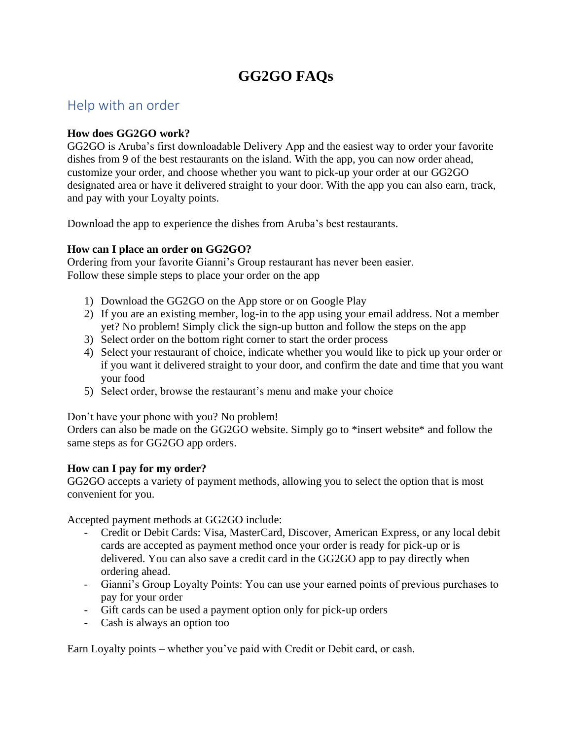# **GG2GO FAQs**

### Help with an order

#### **How does GG2GO work?**

GG2GO is Aruba's first downloadable Delivery App and the easiest way to order your favorite dishes from 9 of the best restaurants on the island. With the app, you can now order ahead, customize your order, and choose whether you want to pick-up your order at our GG2GO designated area or have it delivered straight to your door. With the app you can also earn, track, and pay with your Loyalty points.

Download the app to experience the dishes from Aruba's best restaurants.

#### **How can I place an order on GG2GO?**

Ordering from your favorite Gianni's Group restaurant has never been easier. Follow these simple steps to place your order on the app

- 1) Download the GG2GO on the App store or on Google Play
- 2) If you are an existing member, log-in to the app using your email address. Not a member yet? No problem! Simply click the sign-up button and follow the steps on the app
- 3) Select order on the bottom right corner to start the order process
- 4) Select your restaurant of choice, indicate whether you would like to pick up your order or if you want it delivered straight to your door, and confirm the date and time that you want your food
- 5) Select order, browse the restaurant's menu and make your choice

Don't have your phone with you? No problem!

Orders can also be made on the GG2GO website. Simply go to \*insert website\* and follow the same steps as for GG2GO app orders.

#### **How can I pay for my order?**

GG2GO accepts a variety of payment methods, allowing you to select the option that is most convenient for you.

Accepted payment methods at GG2GO include:

- Credit or Debit Cards: Visa, MasterCard, Discover, American Express, or any local debit cards are accepted as payment method once your order is ready for pick-up or is delivered. You can also save a credit card in the GG2GO app to pay directly when ordering ahead.
- Gianni's Group Loyalty Points: You can use your earned points of previous purchases to pay for your order
- Gift cards can be used a payment option only for pick-up orders
- Cash is always an option too

Earn Loyalty points – whether you've paid with Credit or Debit card, or cash.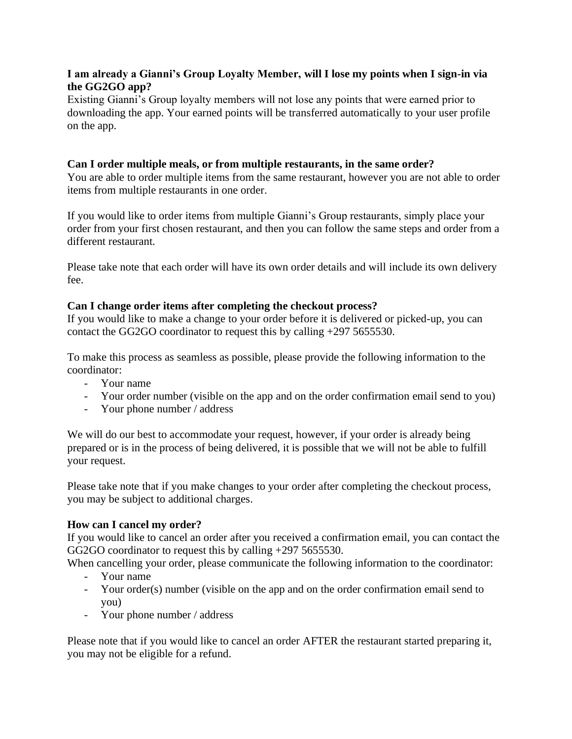#### **I am already a Gianni's Group Loyalty Member, will I lose my points when I sign-in via the GG2GO app?**

Existing Gianni's Group loyalty members will not lose any points that were earned prior to downloading the app. Your earned points will be transferred automatically to your user profile on the app.

#### **Can I order multiple meals, or from multiple restaurants, in the same order?**

You are able to order multiple items from the same restaurant, however you are not able to order items from multiple restaurants in one order.

If you would like to order items from multiple Gianni's Group restaurants, simply place your order from your first chosen restaurant, and then you can follow the same steps and order from a different restaurant.

Please take note that each order will have its own order details and will include its own delivery fee.

#### **Can I change order items after completing the checkout process?**

If you would like to make a change to your order before it is delivered or picked-up, you can contact the GG2GO coordinator to request this by calling +297 5655530.

To make this process as seamless as possible, please provide the following information to the coordinator:

- Your name
- Your order number (visible on the app and on the order confirmation email send to you)
- Your phone number / address

We will do our best to accommodate your request, however, if your order is already being prepared or is in the process of being delivered, it is possible that we will not be able to fulfill your request.

Please take note that if you make changes to your order after completing the checkout process, you may be subject to additional charges.

#### **How can I cancel my order?**

If you would like to cancel an order after you received a confirmation email, you can contact the GG2GO coordinator to request this by calling +297 5655530.

When cancelling your order, please communicate the following information to the coordinator:

- Your name
- Your order(s) number (visible on the app and on the order confirmation email send to you)
- Your phone number / address

Please note that if you would like to cancel an order AFTER the restaurant started preparing it, you may not be eligible for a refund.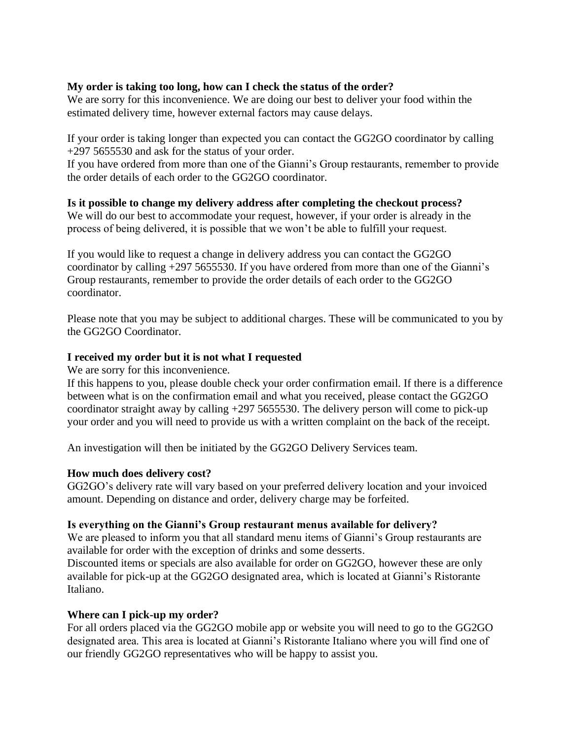#### **My order is taking too long, how can I check the status of the order?**

We are sorry for this inconvenience. We are doing our best to deliver your food within the estimated delivery time, however external factors may cause delays.

If your order is taking longer than expected you can contact the GG2GO coordinator by calling +297 5655530 and ask for the status of your order.

If you have ordered from more than one of the Gianni's Group restaurants, remember to provide the order details of each order to the GG2GO coordinator.

**Is it possible to change my delivery address after completing the checkout process?** We will do our best to accommodate your request, however, if your order is already in the process of being delivered, it is possible that we won't be able to fulfill your request.

If you would like to request a change in delivery address you can contact the GG2GO coordinator by calling +297 5655530. If you have ordered from more than one of the Gianni's Group restaurants, remember to provide the order details of each order to the GG2GO coordinator.

Please note that you may be subject to additional charges. These will be communicated to you by the GG2GO Coordinator.

#### **I received my order but it is not what I requested**

We are sorry for this inconvenience.

If this happens to you, please double check your order confirmation email. If there is a difference between what is on the confirmation email and what you received, please contact the GG2GO coordinator straight away by calling +297 5655530. The delivery person will come to pick-up your order and you will need to provide us with a written complaint on the back of the receipt.

An investigation will then be initiated by the GG2GO Delivery Services team.

#### **How much does delivery cost?**

GG2GO's delivery rate will vary based on your preferred delivery location and your invoiced amount. Depending on distance and order, delivery charge may be forfeited.

#### **Is everything on the Gianni's Group restaurant menus available for delivery?**

We are pleased to inform you that all standard menu items of Gianni's Group restaurants are available for order with the exception of drinks and some desserts.

Discounted items or specials are also available for order on GG2GO, however these are only available for pick-up at the GG2GO designated area, which is located at Gianni's Ristorante Italiano.

#### **Where can I pick-up my order?**

For all orders placed via the GG2GO mobile app or website you will need to go to the GG2GO designated area. This area is located at Gianni's Ristorante Italiano where you will find one of our friendly GG2GO representatives who will be happy to assist you.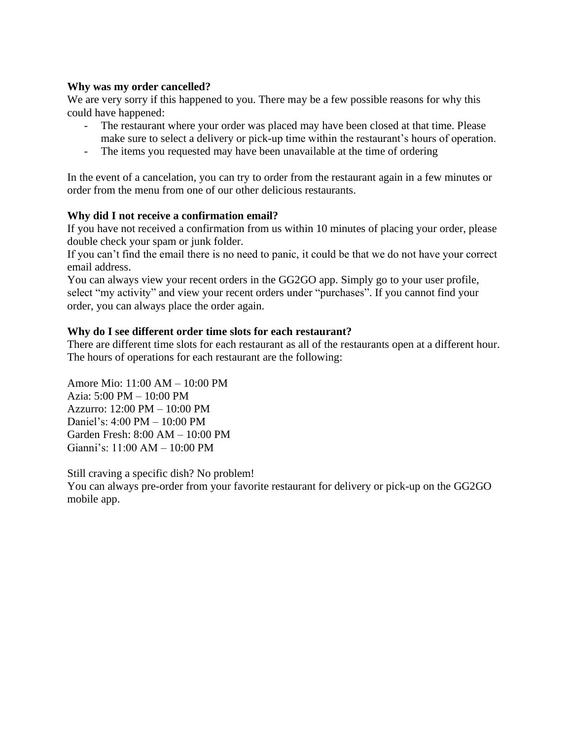#### **Why was my order cancelled?**

We are very sorry if this happened to you. There may be a few possible reasons for why this could have happened:

- The restaurant where your order was placed may have been closed at that time. Please make sure to select a delivery or pick-up time within the restaurant's hours of operation.
- The items you requested may have been unavailable at the time of ordering

In the event of a cancelation, you can try to order from the restaurant again in a few minutes or order from the menu from one of our other delicious restaurants.

#### **Why did I not receive a confirmation email?**

If you have not received a confirmation from us within 10 minutes of placing your order, please double check your spam or junk folder.

If you can't find the email there is no need to panic, it could be that we do not have your correct email address.

You can always view your recent orders in the GG2GO app. Simply go to your user profile, select "my activity" and view your recent orders under "purchases". If you cannot find your order, you can always place the order again.

#### **Why do I see different order time slots for each restaurant?**

There are different time slots for each restaurant as all of the restaurants open at a different hour. The hours of operations for each restaurant are the following:

Amore Mio: 11:00 AM – 10:00 PM Azia: 5:00 PM – 10:00 PM Azzurro: 12:00 PM – 10:00 PM Daniel's: 4:00 PM – 10:00 PM Garden Fresh: 8:00 AM – 10:00 PM Gianni's: 11:00 AM – 10:00 PM

Still craving a specific dish? No problem!

You can always pre-order from your favorite restaurant for delivery or pick-up on the GG2GO mobile app.